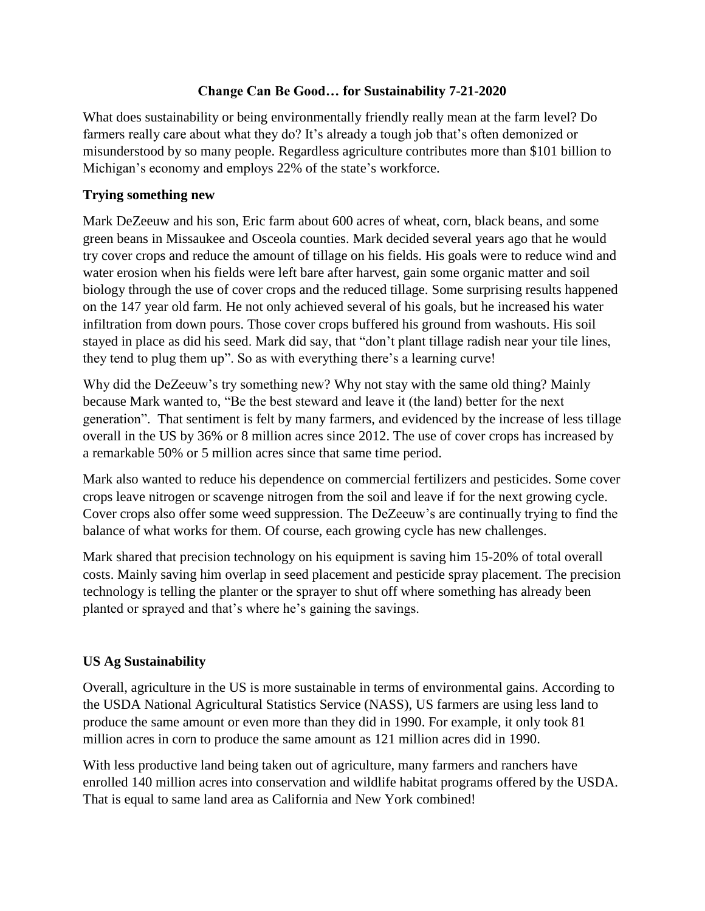### **Change Can Be Good… for Sustainability 7-21-2020**

What does sustainability or being environmentally friendly really mean at the farm level? Do farmers really care about what they do? It's already a tough job that's often demonized or misunderstood by so many people. Regardless agriculture contributes more than \$101 billion to Michigan's economy and employs 22% of the state's workforce.

## **Trying something new**

Mark DeZeeuw and his son, Eric farm about 600 acres of wheat, corn, black beans, and some green beans in Missaukee and Osceola counties. Mark decided several years ago that he would try cover crops and reduce the amount of tillage on his fields. His goals were to reduce wind and water erosion when his fields were left bare after harvest, gain some organic matter and soil biology through the use of cover crops and the reduced tillage. Some surprising results happened on the 147 year old farm. He not only achieved several of his goals, but he increased his water infiltration from down pours. Those cover crops buffered his ground from washouts. His soil stayed in place as did his seed. Mark did say, that "don't plant tillage radish near your tile lines, they tend to plug them up". So as with everything there's a learning curve!

Why did the DeZeeuw's try something new? Why not stay with the same old thing? Mainly because Mark wanted to, "Be the best steward and leave it (the land) better for the next generation". That sentiment is felt by many farmers, and evidenced by the increase of less tillage overall in the US by 36% or 8 million acres since 2012. The use of cover crops has increased by a remarkable 50% or 5 million acres since that same time period.

Mark also wanted to reduce his dependence on commercial fertilizers and pesticides. Some cover crops leave nitrogen or scavenge nitrogen from the soil and leave if for the next growing cycle. Cover crops also offer some weed suppression. The DeZeeuw's are continually trying to find the balance of what works for them. Of course, each growing cycle has new challenges.

Mark shared that precision technology on his equipment is saving him 15-20% of total overall costs. Mainly saving him overlap in seed placement and pesticide spray placement. The precision technology is telling the planter or the sprayer to shut off where something has already been planted or sprayed and that's where he's gaining the savings.

# **US Ag Sustainability**

Overall, agriculture in the US is more sustainable in terms of environmental gains. According to the USDA National Agricultural Statistics Service (NASS), US farmers are using less land to produce the same amount or even more than they did in 1990. For example, it only took 81 million acres in corn to produce the same amount as 121 million acres did in 1990.

With less productive land being taken out of agriculture, many farmers and ranchers have enrolled 140 million acres into conservation and wildlife habitat programs offered by the USDA. That is equal to same land area as California and New York combined!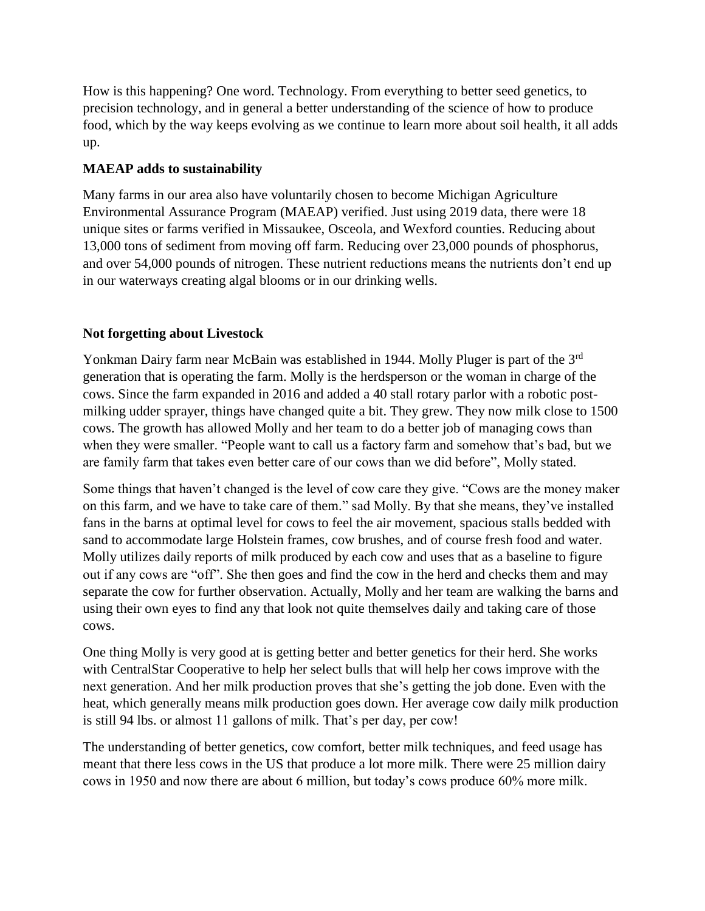How is this happening? One word. Technology. From everything to better seed genetics, to precision technology, and in general a better understanding of the science of how to produce food, which by the way keeps evolving as we continue to learn more about soil health, it all adds up.

## **MAEAP adds to sustainability**

Many farms in our area also have voluntarily chosen to become Michigan Agriculture Environmental Assurance Program (MAEAP) verified. Just using 2019 data, there were 18 unique sites or farms verified in Missaukee, Osceola, and Wexford counties. Reducing about 13,000 tons of sediment from moving off farm. Reducing over 23,000 pounds of phosphorus, and over 54,000 pounds of nitrogen. These nutrient reductions means the nutrients don't end up in our waterways creating algal blooms or in our drinking wells.

### **Not forgetting about Livestock**

Yonkman Dairy farm near McBain was established in 1944. Molly Pluger is part of the 3<sup>rd</sup> generation that is operating the farm. Molly is the herdsperson or the woman in charge of the cows. Since the farm expanded in 2016 and added a 40 stall rotary parlor with a robotic postmilking udder sprayer, things have changed quite a bit. They grew. They now milk close to 1500 cows. The growth has allowed Molly and her team to do a better job of managing cows than when they were smaller. "People want to call us a factory farm and somehow that's bad, but we are family farm that takes even better care of our cows than we did before", Molly stated.

Some things that haven't changed is the level of cow care they give. "Cows are the money maker on this farm, and we have to take care of them." sad Molly. By that she means, they've installed fans in the barns at optimal level for cows to feel the air movement, spacious stalls bedded with sand to accommodate large Holstein frames, cow brushes, and of course fresh food and water. Molly utilizes daily reports of milk produced by each cow and uses that as a baseline to figure out if any cows are "off". She then goes and find the cow in the herd and checks them and may separate the cow for further observation. Actually, Molly and her team are walking the barns and using their own eyes to find any that look not quite themselves daily and taking care of those cows.

One thing Molly is very good at is getting better and better genetics for their herd. She works with CentralStar Cooperative to help her select bulls that will help her cows improve with the next generation. And her milk production proves that she's getting the job done. Even with the heat, which generally means milk production goes down. Her average cow daily milk production is still 94 lbs. or almost 11 gallons of milk. That's per day, per cow!

The understanding of better genetics, cow comfort, better milk techniques, and feed usage has meant that there less cows in the US that produce a lot more milk. There were 25 million dairy cows in 1950 and now there are about 6 million, but today's cows produce 60% more milk.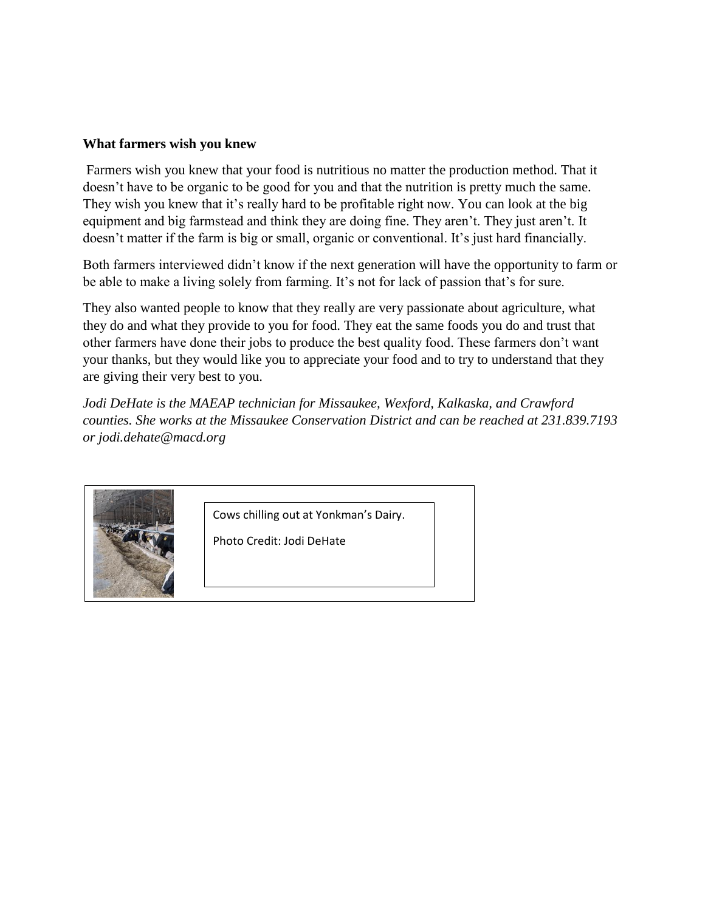#### **What farmers wish you knew**

Farmers wish you knew that your food is nutritious no matter the production method. That it doesn't have to be organic to be good for you and that the nutrition is pretty much the same. They wish you knew that it's really hard to be profitable right now. You can look at the big equipment and big farmstead and think they are doing fine. They aren't. They just aren't. It doesn't matter if the farm is big or small, organic or conventional. It's just hard financially.

Both farmers interviewed didn't know if the next generation will have the opportunity to farm or be able to make a living solely from farming. It's not for lack of passion that's for sure.

They also wanted people to know that they really are very passionate about agriculture, what they do and what they provide to you for food. They eat the same foods you do and trust that other farmers have done their jobs to produce the best quality food. These farmers don't want your thanks, but they would like you to appreciate your food and to try to understand that they are giving their very best to you.

*Jodi DeHate is the MAEAP technician for Missaukee, Wexford, Kalkaska, and Crawford counties. She works at the Missaukee Conservation District and can be reached at 231.839.7193 or jodi.dehate@macd.org*



Cows chilling out at Yonkman's Dairy.

Photo Credit: Jodi DeHate